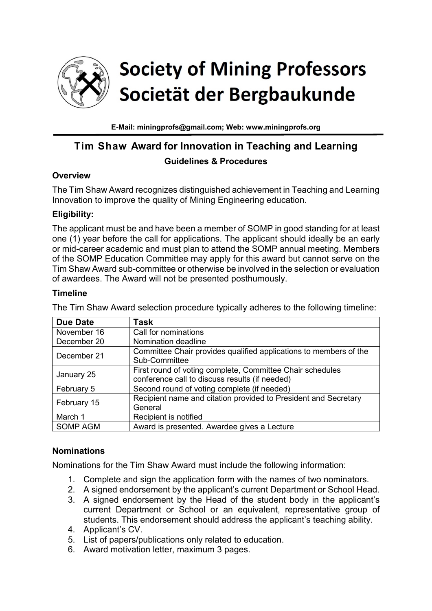

# **Society of Mining Professors** Societät der Bergbaukunde

**E-Mail: miningprofs@gmail.com; Web: www.miningprofs.org**

## **Tim Shaw Award for Innovation in Teaching and Learning Guidelines & Procedures**

## **Overview**

The Tim Shaw Award recognizes distinguished achievement in Teaching and Learning Innovation to improve the quality of Mining Engineering education.

## **Eligibility:**

The applicant must be and have been a member of SOMP in good standing for at least one (1) year before the call for applications. The applicant should ideally be an early or mid-career academic and must plan to attend the SOMP annual meeting. Members of the SOMP Education Committee may apply for this award but cannot serve on the Tim Shaw Award sub-committee or otherwise be involved in the selection or evaluation of awardees. The Award will not be presented posthumously.

#### **Timeline**

The Tim Shaw Award selection procedure typically adheres to the following timeline:

| <b>Due Date</b> | <b>Task</b>                                                                                                 |
|-----------------|-------------------------------------------------------------------------------------------------------------|
| November 16     | Call for nominations                                                                                        |
| December 20     | Nomination deadline                                                                                         |
| December 21     | Committee Chair provides qualified applications to members of the<br>Sub-Committee                          |
| January 25      | First round of voting complete, Committee Chair schedules<br>conference call to discuss results (if needed) |
| February 5      | Second round of voting complete (if needed)                                                                 |
| February 15     | Recipient name and citation provided to President and Secretary<br>General                                  |
| March 1         | Recipient is notified                                                                                       |
| SOMP AGM        | Award is presented. Awardee gives a Lecture                                                                 |

## **Nominations**

Nominations for the Tim Shaw Award must include the following information:

- 1. Complete and sign the application form with the names of two nominators.
- 2. A signed endorsement by the applicant's current Department or School Head.
- 3. A signed endorsement by the Head of the student body in the applicant's current Department or School or an equivalent, representative group of students. This endorsement should address the applicant's teaching ability.
- 4. Applicant's CV.
- 5. List of papers/publications only related to education.
- 6. Award motivation letter, maximum 3 pages.